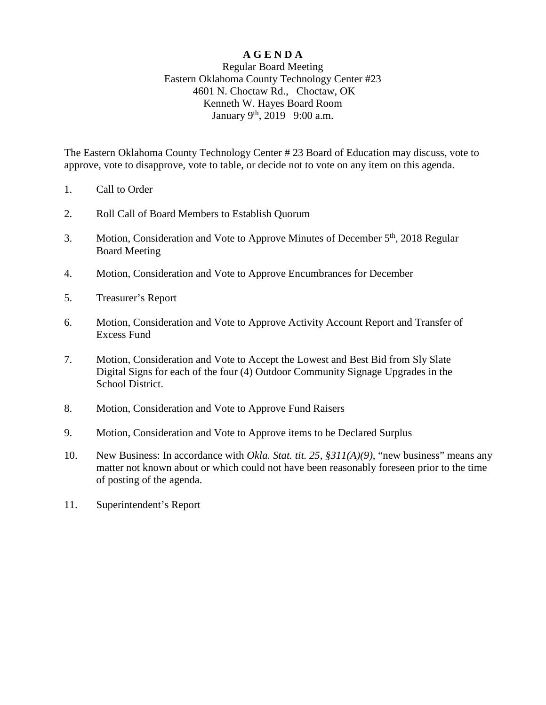## **A G E N D A**

## Regular Board Meeting Eastern Oklahoma County Technology Center #23 4601 N. Choctaw Rd., Choctaw, OK Kenneth W. Hayes Board Room January 9<sup>th</sup>, 2019 9:00 a.m.

The Eastern Oklahoma County Technology Center # 23 Board of Education may discuss, vote to approve, vote to disapprove, vote to table, or decide not to vote on any item on this agenda.

- 1. Call to Order
- 2. Roll Call of Board Members to Establish Quorum
- 3. Motion, Consideration and Vote to Approve Minutes of December 5<sup>th</sup>, 2018 Regular Board Meeting
- 4. Motion, Consideration and Vote to Approve Encumbrances for December
- 5. Treasurer's Report
- 6. Motion, Consideration and Vote to Approve Activity Account Report and Transfer of Excess Fund
- 7. Motion, Consideration and Vote to Accept the Lowest and Best Bid from Sly Slate Digital Signs for each of the four (4) Outdoor Community Signage Upgrades in the School District.
- 8. Motion, Consideration and Vote to Approve Fund Raisers
- 9. Motion, Consideration and Vote to Approve items to be Declared Surplus
- 10. New Business: In accordance with *Okla. Stat. tit. 25, §311(A)(9)*, "new business" means any matter not known about or which could not have been reasonably foreseen prior to the time of posting of the agenda.
- 11. Superintendent's Report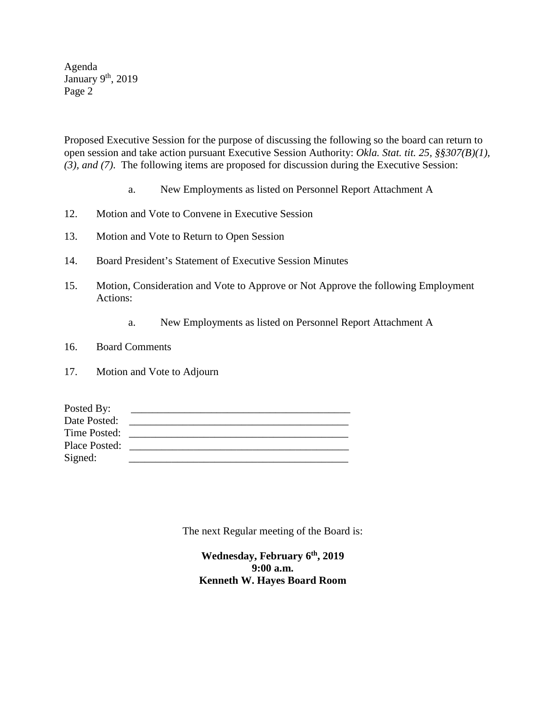Agenda January  $9<sup>th</sup>$ , 2019 Page 2

Proposed Executive Session for the purpose of discussing the following so the board can return to open session and take action pursuant Executive Session Authority: *Okla. Stat. tit. 25, §§307(B)(1), (3), and (7)*. The following items are proposed for discussion during the Executive Session:

- a. New Employments as listed on Personnel Report Attachment A
- 12. Motion and Vote to Convene in Executive Session
- 13. Motion and Vote to Return to Open Session
- 14. Board President's Statement of Executive Session Minutes
- 15. Motion, Consideration and Vote to Approve or Not Approve the following Employment Actions:
	- a. New Employments as listed on Personnel Report Attachment A
- 16. Board Comments
- 17. Motion and Vote to Adjourn

| Posted By:    |  |
|---------------|--|
| Date Posted:  |  |
| Time Posted:  |  |
| Place Posted: |  |
| Signed:       |  |

The next Regular meeting of the Board is:

**Wednesday, February 6th, 2019 9:00 a.m. Kenneth W. Hayes Board Room**